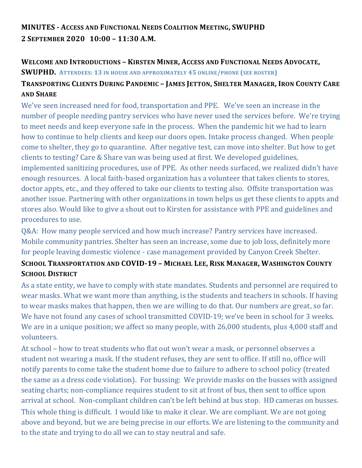# **MINUTES - ACCESS AND FUNCTIONAL NEEDS COALITION MEETING, SWUPHD 2 SEPTEMBER 2020 10:00 – 11:30 A.M.**

#### **WELCOME AND INTRODUCTIONS – KIRSTEN MINER, ACCESS AND FUNCTIONAL NEEDS ADVOCATE,**

#### **SWUPHD. ATTENDEES: 13 IN HOUSE AND APPROXIMATELY 45 ONLINE/PHONE (SEE ROSTER)**

# TRANSPORTING CLIENTS DURING PANDEMIC - JAMES JETTON, SHELTER MANAGER, IRON COUNTY CARE **AND SHARE**

We've seen increased need for food, transportation and PPE. We've seen an increase in the number of people needing pantry services who have never used the services before. We're trying to meet needs and keep everyone safe in the process. When the pandemic hit we had to learn how to continue to help clients and keep our doors open. Intake process changed. When people come to shelter, they go to quarantine. After negative test, can move into shelter. But how to get clients to testing? Care & Share van was being used at first. We developed guidelines, implemented sanitizing procedures, use of PPE. As other needs surfaced, we realized didn't have enough resources. A local faith-based organization has a volunteer that takes clients to stores, doctor appts, etc., and they offered to take our clients to testing also. Offsite transportation was another issue. Partnering with other organizations in town helps us get these clients to appts and stores also. Would like to give a shout out to Kirsten for assistance with PPE and guidelines and procedures to use.

Q&A: How many people serviced and how much increase? Pantry services have increased. Mobile community pantries. Shelter has seen an increase, some due to job loss, definitely more for people leaving domestic violence - case management provided by Canyon Creek Shelter.

## **SCHOOL TRANSPORTATION AND COVID-19 – MICHAEL LEE, RISK MANAGER, WASHINGTON COUNTY SCHOOL DISTRICT**

As a state entity, we have to comply with state mandates. Students and personnel are required to wear masks. What we want more than anything, is the students and teachers in schools. If having to wear masks makes that happen, then we are willing to do that. Our numbers are great, so far. We have not found any cases of school transmitted COVID-19; we've been in school for 3 weeks. We are in a unique position; we affect so many people, with 26,000 students, plus 4,000 staff and volunteers.

At school – how to treat students who flat out won't wear a mask, or personnel observes a student not wearing a mask. If the student refuses, they are sent to office. If still no, office will notify parents to come take the student home due to failure to adhere to school policy (treated the same as a dress code violation). For bussing: We provide masks on the busses with assigned seating charts; non-compliance requires student to sit at front of bus, then sent to office upon arrival at school. Non-compliant children can't be left behind at bus stop. HD cameras on busses. This whole thing is difficult. I would like to make it clear. We are compliant. We are not going above and beyond, but we are being precise in our efforts. We are listening to the community and to the state and trying to do all we can to stay neutral and safe.